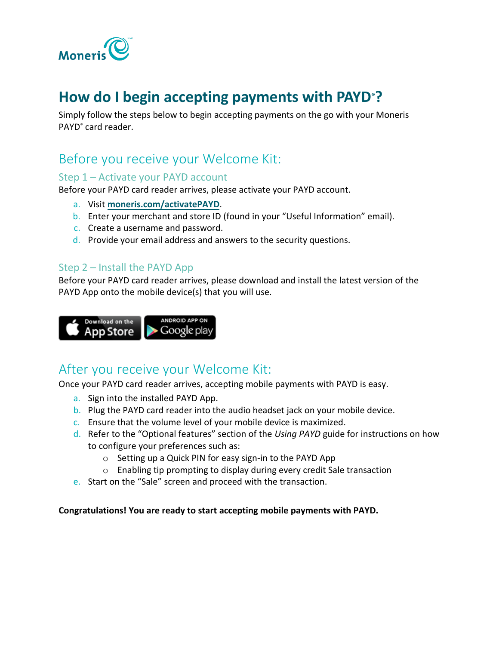

# **How do I begin accepting payments with PAYD®?**

Simply follow the steps below to begin accepting payments on the go with your Moneris PAYD® card reader.

### Before you receive your Welcome Kit:

#### Step 1 – Activate your PAYD account

Before your PAYD card reader arrives, please activate your PAYD account.

- a. Visit **[moneris.com/activatePAYD](https://my.getpayd.com/ebox/merchant/activate/lang=EN)**.
- b. Enter your merchant and store ID (found in your "Useful Information" email).
- c. Create a username and password.
- d. Provide your email address and answers to the security questions.

### Step 2 – Install the PAYD App

Before your PAYD card reader arrives, please download and install the latest version of the PAYD App onto the mobile device(s) that you will use.



# After you receive your Welcome Kit:

Once your PAYD card reader arrives, accepting mobile payments with PAYD is easy.

- a. Sign into the installed PAYD App.
- b. Plug the PAYD card reader into the audio headset jack on your mobile device.
- c. Ensure that the volume level of your mobile device is maximized.
- d. Refer to the "Optional features" section of the *Using PAYD* guide for instructions on how to configure your preferences such as:
	- o Setting up a Quick PIN for easy sign-in to the PAYD App
	- o Enabling tip prompting to display during every credit Sale transaction
- e. Start on the "Sale" screen and proceed with the transaction.

**Congratulations! You are ready to start accepting mobile payments with PAYD.**